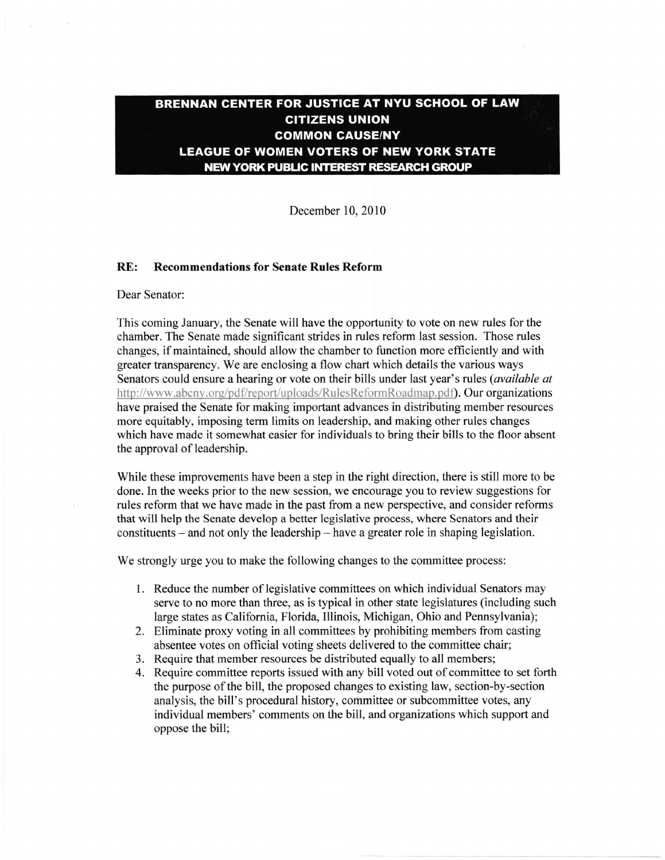## BRENNAN CENTER FOR JUSTICE AT NYU SCHOOL OF LAW **CITIZENS UNION COMMON CAUSE/NY LEAGUE OF WOMEN VOTERS OF NEW YORK STATE NEW YORK PUBLIC INTEREST RESEARCH GROUP**

December 10,2010

## RE: Recommendations for Senate Rules Reform

## Dear Senator:

This coming January, the Senate will have the opportunity to vote on new rules for the chamber. The Senate made significant strides in rules reform last session. Those rules changes, if maintained, should allow the chamber to function more efficiently and with greater transparency. We are enclosing a flow chart which details the various ways Senators could ensure a hearing or vote on their bills under last year's rules (*available at* http://www.abcny.org/pdf/report/uploads/RulesReformRoadmap.pdf). Our organizations have praised the Senate for making important advances in distributing member resources more equitably, imposing term limits on leadership, and making other rules changes which have made it somewhat easier for individuals to bring their bills to the floor absent the approval of leadership.

While these improvements have been a step in the right direction, there is still more to be done. In the weeks prior to the new session, we encourage you to review suggestions for rules reform that we have made in the past from a new perspective, and consider reforms that will help the Senate develop a better legislative process, where Senators and their  $constituents - and not only the leadership - have a greater role in shaping legislation.$ 

We strongly urge you to make the following changes to the committee process:

- 1. Reduce the number of legislative committees on which individual Senators may serve to no more than three, as is typical in other state legislatures (including such large states as California, Florida, Illinois, Michigan, Ohio and Pennsylvania);
- 2. Eliminate proxy voting in all committees by prohibiting members from casting absentee votes on official voting sheets delivered to the committee chair;
- 3. Require that member resources be distributed equally to all members;
- 4. Require committee reports issued with any bill voted out of committee to set forth the purpose of the bill, the proposed changes to existing law, section-by-section analysis, the bill's procedural history, commifiee or subcommittee votes, any individual members' comments on the bill, and organizations which support and oppose the bill;